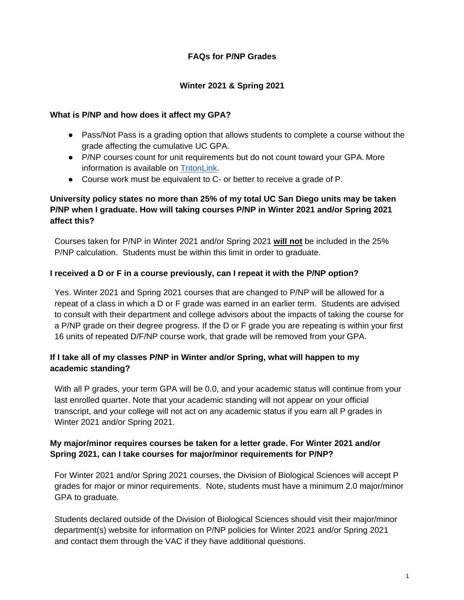## **FAQs for P/NP Grades**

### **Winter 2021 & Spring 2021**

#### **What is P/NP and how does it affect my GPA?**

- Pass/Not Pass is a grading option that allows students to complete a course without the grade affecting the cumulative UC GPA.
- P/NP courses count for unit requirements but do not count toward your GPA. More information is available on [TritonLink.](https://students.ucsd.edu/academics/exams-grades-transcripts/grades/pass-not-pass-grade.html)
- Course work must be equivalent to C- or better to receive a grade of P.

# **University policy states no more than 25% of my total UC San Diego units may be taken P/NP when I graduate. How will taking courses P/NP in Winter 2021 and/or Spring 2021 affect this?**

Courses taken for P/NP in Winter 2021 and/or Spring 2021 **will not** be included in the 25% P/NP calculation. Students must be within this limit in order to graduate.

#### **I received a D or F in a course previously, can I repeat it with the P/NP option?**

Yes. Winter 2021 and Spring 2021 courses that are changed to P/NP will be allowed for a repeat of a class in which a D or F grade was earned in an earlier term. Students are advised to consult with their department and college advisors about the impacts of taking the course for a P/NP grade on their degree progress. If the D or F grade you are repeating is within your first 16 units of repeated D/F/NP course work, that grade will be removed from your GPA.

# **If I take all of my classes P/NP in Winter and/or Spring, what will happen to my academic standing?**

With all P grades, your term GPA will be 0.0, and your academic status will continue from your last enrolled quarter. Note that your academic standing will not appear on your official transcript, and your college will not act on any academic status if you earn all P grades in Winter 2021 and/or Spring 2021.

# **My major/minor requires courses be taken for a letter grade. For Winter 2021 and/or Spring 2021, can I take courses for major/minor requirements for P/NP?**

For Winter 2021 and/or Spring 2021 courses, the Division of Biological Sciences will accept P grades for major or minor requirements. Note, students must have a minimum 2.0 major/minor GPA to graduate.

Students declared outside of the Division of Biological Sciences should visit their major/minor department(s) website for information on P/NP policies for Winter 2021 and/or Spring 2021 and contact them through the VAC if they have additional questions.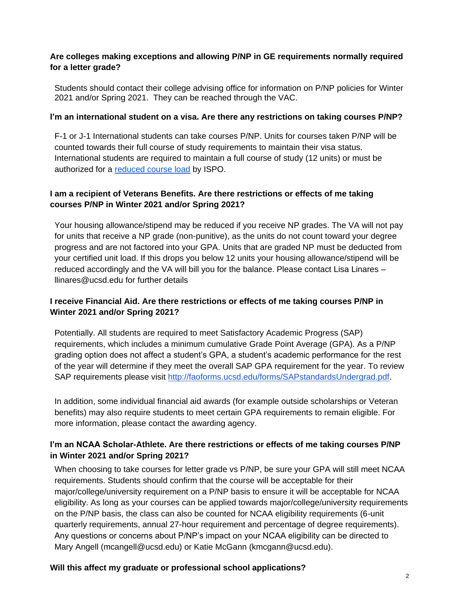# **Are colleges making exceptions and allowing P/NP in GE requirements normally required for a letter grade?**

Students should contact their college advising office for information on P/NP policies for Winter 2021 and/or Spring 2021. They can be reached through the VAC.

#### **I'm an international student on a visa. Are there any restrictions on taking courses P/NP?**

F-1 or J-1 International students can take courses P/NP. Units for courses taken P/NP will be counted towards their full course of study requirements to maintain their visa status. International students are required to maintain a full course of study (12 units) or must be authorized for a [reduced course load](https://ispo.ucsd.edu/advising/visa/current-returning-students/visa-status/maintaining-status/reduced-course-load/index.html) by ISPO.

### **I am a recipient of Veterans Benefits. Are there restrictions or effects of me taking courses P/NP in Winter 2021 and/or Spring 2021?**

Your housing allowance/stipend may be reduced if you receive NP grades. The VA will not pay for units that receive a NP grade (non-punitive), as the units do not count toward your degree progress and are not factored into your GPA. Units that are graded NP must be deducted from your certified unit load. If this drops you below 12 units your housing allowance/stipend will be reduced accordingly and the VA will bill you for the balance. Please contact Lisa Linares – [llinares@ucsd.edu f](mailto:llinares@ucsd.edu)or further details

# **I receive Financial Aid. Are there restrictions or effects of me taking courses P/NP in Winter 2021 and/or Spring 2021?**

Potentially. All students are required to meet Satisfactory Academic Progress (SAP) requirements, which includes a minimum cumulative Grade Point Average (GPA). As a P/NP grading option does not affect a student's GPA, a student's academic performance for the rest of the year will determine if they meet the overall SAP GPA requirement for the year. To review SAP requirements please visit [http://faoforms.ucsd.edu/forms/SAPstandardsUndergrad.pdf.](http://faoforms.ucsd.edu/forms/SAPstandardsUndergrad.pdf)

In addition, some individual financial aid awards (for example outside scholarships or Veteran benefits) may also require students to meet certain GPA requirements to remain eligible. For more information, please contact the awarding agency.

# **I'm an NCAA Scholar-Athlete. Are there restrictions or effects of me taking courses P/NP in Winter 2021 and/or Spring 2021?**

When choosing to take courses for letter grade vs P/NP, be sure your GPA will still meet NCAA requirements. Students should confirm that the course will be acceptable for their major/college/university requirement on a P/NP basis to ensure it will be acceptable for NCAA eligibility. As long as your courses can be applied towards major/college/university requirements on the P/NP basis, the class can also be counted for NCAA eligibility requirements (6-unit quarterly requirements, annual 27-hour requirement and percentage of degree requirements). Any questions or concerns about P/NP's impact on your NCAA eligibility can be directed to Mary Angell (mcangell@ucsd.edu) or Katie McGann (kmcgann@ucsd.edu).

#### **Will this affect my graduate or professional school applications?**